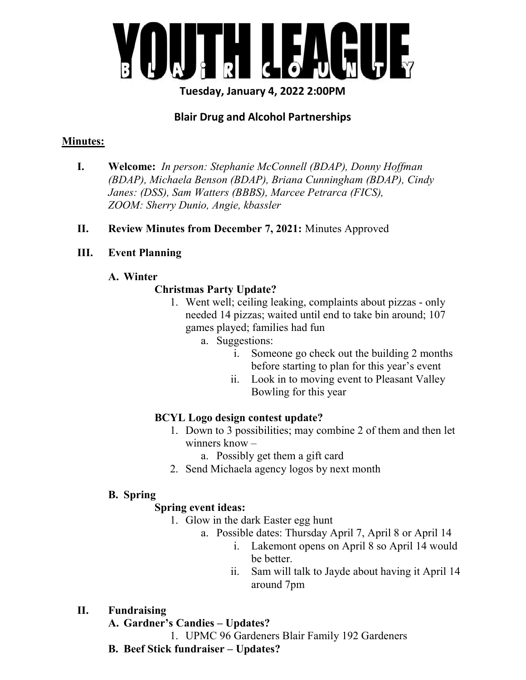

Tuesday, January 4, 2022 2:00PM

## Blair Drug and Alcohol Partnerships

## Minutes:

- I. Welcome: In person: Stephanie McConnell (BDAP), Donny Hoffman (BDAP), Michaela Benson (BDAP), Briana Cunningham (BDAP), Cindy Janes: (DSS), Sam Watters (BBBS), Marcee Petrarca (FICS), ZOOM: Sherry Dunio, Angie, kbassler
- II. Review Minutes from December 7, 2021: Minutes Approved

#### III. Event Planning

A. Winter

## Christmas Party Update?

- 1. Went well; ceiling leaking, complaints about pizzas only needed 14 pizzas; waited until end to take bin around; 107 games played; families had fun
	- a. Suggestions:
		- i. Someone go check out the building 2 months before starting to plan for this year's event
		- ii. Look in to moving event to Pleasant Valley Bowling for this year

## BCYL Logo design contest update?

- 1. Down to 3 possibilities; may combine 2 of them and then let winners know –
	- a. Possibly get them a gift card
- 2. Send Michaela agency logos by next month

## B. Spring

## Spring event ideas:

- 1. Glow in the dark Easter egg hunt
	- a. Possible dates: Thursday April 7, April 8 or April 14
		- i. Lakemont opens on April 8 so April 14 would be better.
		- ii. Sam will talk to Jayde about having it April 14 around 7pm
- II. Fundraising
	- A. Gardner's Candies Updates?
		- 1. UPMC 96 Gardeners Blair Family 192 Gardeners
	- B. Beef Stick fundraiser Updates?